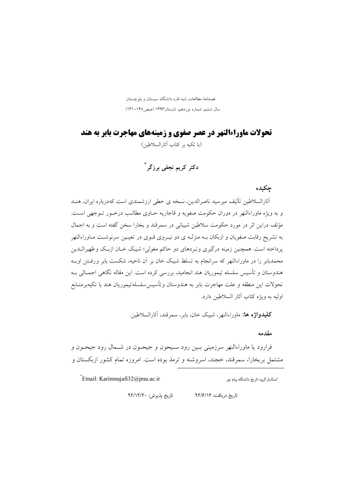فصلنامهٔ مطالعات شبه قاره دانشگاه سیستان و بلوچستان سال ششم، شماره نوزدهم، تابستان۱۳۹۳ (صص ۱۴۸–۱۳۱)

**تحولات ماوراءالنهر در عصر صفوی و زمینههای مهاجرت بابر به هند** 

(با تكبه بر كتاب آثار السلاطين)

دکتر کریم نجفی برزگر \*

چکیده

أثارالسلاطین تألیف میرسید ناصرالدین، نسخه ی خطی ارزشمندی است کهدرباره ایران، هنـد و به ویژه ماوراءالنهر در دوران حکومت صفویه و قاجاریه حـاوی مطالـب درخـور تـوجهی اسـت. مؤلف دراین اثر در مورد حکومت سلاطین شیبانی در سمرقند و بخارا سخن گفته است و به اجمال به تشریح رقابت صفویان و ازبکان بـه منزلـه ی دو نیـروی قـوی در تعیـین سرنوشـت مـاوراءالنهر پرداخته است. همچنین زمینه درگیری ونبردهای دو حاکم مغولی؛ شیبک خـان ازبـک وظهیرالــدین محمدبابر را در ماوراءالنهر که سرانجام به تسلط شیبک خان بر آن ناحیه، شکست بابر ورفـتن اوبـه هندوستان و تأسیس سلسله تیموریان هند انجامید، بررسی کرده است. این مقاله نگاهی اجمـالی بــه تحولات اين منطقه و علت مهاجرت بابر به هندوستان وتأسيس سلسله تيموريان هند با تكيهبرمنــابع اوليه به ويژه كتاب آثار السلاطين دارد.

**كليدواژه ها:** ماوراءالنهر، شسك خان، بابر، سمرقند، آثارالسلاطين.

مقدمه

فرارود یا ماوراءالنهر سرزمینی بـین رود سـیحون و جیحـون در شــمال رود جیحـون و مشتمل بر بخارا، سمرقند، خجند، اسروشنه و ترمذ بوده است. امروزه تمام کشور ازبکستان و

Email: Karimnajafi32@pnu.ac.ir

استادیار گروه تاریخ دانشگاه پیام نور

تاریخ پذیرش: ۹۲/۱۲/۲۰ تاریخ دریافت: ۹۲/۶/۱۲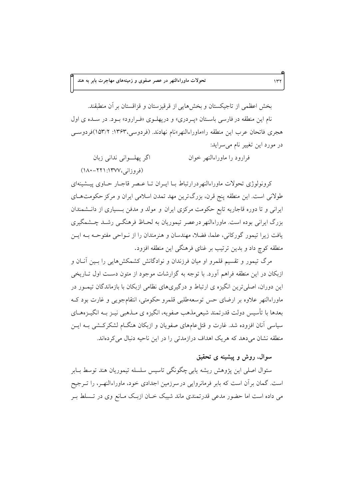بخش اعظمی از تاجیکستان و بخش هایی از قرقیزستان و قزاقستان بر آن منطبقند. نام این منطقه در فارسی باستان «پردری» و دریهلوی «فرارود» بود. در سده ی اول هجری فاتحان عرب این منطقه را«ماوراءالنهر»نام نهادند. (فردوسی،۱۳۶۳: ۱۵۳/۲)فردوســی در مورد این تغییر نام میسراید:

اگر پھلوانی ندانی زبان فرارود را ماوراءالنهر خوان (فروزانی،۱۳۷۷: ۲۲۱-۱۸۰)

کرونولوژی تحولات ماوراءالنهردرارتباط بـا ايـران تـا عـصر قاجـار حـاوی پيــشينهای طولانی است. این منطقه پنج قرن، بزرگترین مهد تمدن اسلامی ایران و مرکز حکومتهای ایرانی و تا دوره قاجاریه تابع حکومت مرکزی ایران و مولد و مدفن بـسیاری از دانـشمندان بزرگ ایرانی بوده است. ماوراءالنهر درعصر تیموریان به لحـاظ فرهنگــی رشــد چــشمگیری یافت زیرا تیمور گورکانی، علما، فضلا، مهندسان و هنرمندان را از نــواحی مفتوحــه بــه ایــن منطقه کوچ داد و بدین ترتیب بر غنای فرهنگی این منطقه افزود.

مرگ تیمور و تقسیم قلمرو او میان فرزندان و نوادگانش کشمکش هایی را بـین آنــان و ازبکان در این منطقه فراهم آورد. با توجه به گزارشات موجود از متون دست اول تـاریخی این دوران، اصلی ترین انگیزه ی ارتباط و درگیریهای نظامی ازبکان با بازماندگان تیمـور در ماوراءالنهر علاوه بر ارضاي حس توسعهطلبي قلمرو حكومتي، انتقام جويبي و غارت بود كـه بعدها با تأسیس دولت قدرتمند شیعیمذهب صفویه، انگیزه ی مـذهبی نیــز بــه انگیــزههــای سیاسی آنان افزوده شد. غارت و قتل عامهای صفویان و ازبکان هنگIم لشکرکشی بـه ایــن منطقه نشان میدهد که هر یک اهداف درازمدتی را در این ناحیه دنبال می کردهاند.

## سوال، روش و پیشینه ی تحقیق

سئوال اصلی این یژوهش ریشه پابی چگونگی تاسیس سلسله تیموریان هند توسط بــابر است. گمان بر آن است که بابر فرمانروایی در سرزمین اجدادی خود، ماوراءالنهـر، را تــرجیح می داده است اما حضور مدعی قدرتمندی ماند شیبک خـان ازبـک مـانع وی در تــسلط بــر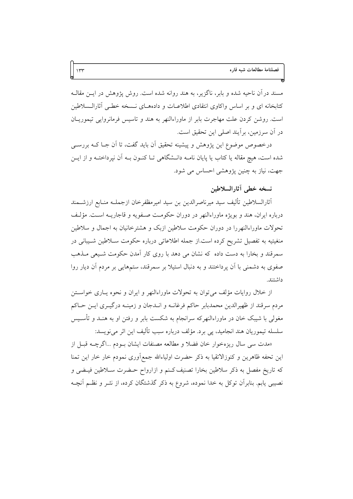مسند در آن ناحیه شده و بابر، ناگزیر، به هند روانه شده است. روش پژوهش در ایــن مقالــه کتابخانه ای و بر اساس واکاوی انتقادی اطلاعـات و دادههـای نــسخه خطـی آثارالــسلاطین است. روشن کردن علت مهاجرت بابر از ماوراءالنهر به هند و تاسیس فرمانروایی تیموریـان در أن سرزمين، برأيند اصلى اين تحقيق است.

درخصوص موضوع این پژوهش و پیشینه تحقیق اَن باید گفت، تا اَن جـا کـه بررســی شده است، هیچ مقاله یا کتاب یا پایان نامـه دانــشگاهی تــا کنــون بــه آن نپرداختــه و از ایــن جهت، نیاز به چنین پژوهشی احساس می شود.

## نسخه خطى أثارالسلاطين

أثارالسلاطين تأليف سيد ميرناصرالدين بن سيد اميرمظفرخان ازجملـه منـابع ارزشــمند درباره ايران، هند و بويژه ماوراءالنهر در دوران حكومت صفويه و قاجاريــه اسـت. مؤلَّـف تحولات ماوراءالنهررا در دوران حکومت سلاطین ازبک و هشتر خانیان به اجمال و سلاطین منغیتیه به تفصیل تشریح کرده است.از جمله اطلاعاتی درباره حکومت سـلاطین شـیبانی در سمرقند و بخارا به دست داده که نشان می دهد با روی کار آمدن حکومت شـیعی مـذهب صفوی به دشمنی با آن یرداختند و به دنبال استیلا بر سمرقند، ستمهایی بر مردم آن دیار روا داشتند.

از خلال روايات مؤلف مي توان به تحولات ماوراءالنهر و ايران و نحوه يـاري خواســتن مردم سرقند از ظهیرالدین محمدبابر حاکم فرغانــه و انــدجان و زمینــه درگیــری ایــن حــاکم مغولی با شیبک خان در ماوراءالنهرکه سرانجام به شکست بابر و رفتن او به هنـد و تأسـیس سلسله تيموريان هند انجاميد، پي برد. مؤلف درباره سبب تأليف اين اثر ميiويسد:

«مدت سي سال ريزهخوار خان فضلاً و مطالعه مصنفات ايشان بـودم ...اگرچــه قبـل از این تحفه ظاهرین و کنوزالاتقیا به ذکر حضرت اولیاءالله جمع|وری نمودم خار خار این تمنا که تاریخ مفصل به ذکر سلاطین بخارا تصنیف کـنم و ازارواح حـضرت سـلاطین فیـضی و نصیبی یابم. بنابرآن توکل به خدا نموده، شروع به ذکر گذشتگان کرده، از نشر و نظـم آنچــه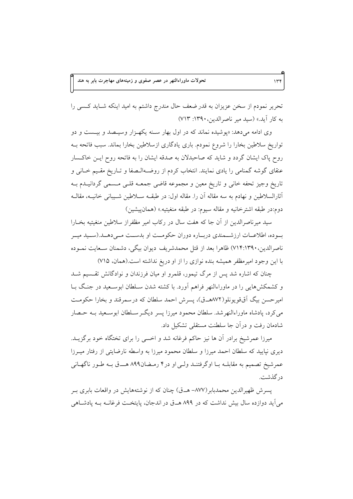تحریر نمودم از سخن عزیزان به قدر ضعف حال مندرج داشتم به امید اینکه شـاید کـسی را به كار آيد.» (سيد مير ناصرالدين، ١٣٩٠: ٧١٣)

وی ادامه میدهد: «پوشیده نماند که در اول بهار سنه یکه زار وسیـصد و بیـست و دو تواریخ سلاطین بخارا را شروع نمودم. باری یادگاری ازسلاطین بخارا بماند. سبب فاتحه بــه روح پاک ایشان گردد و شاید که صاحبدلان به صدقه ایشان را به فاتحه روح ایــن خاکــسار عنقای گوشه گمنامی را یادی نمایند. انتخاب کردم از روضـهالـصفا و تــاریخ مقـیم خــانی و تاریخ وجیز تحفه خانی و تاریخ معین و مجموعه قاضی جمعـه قلـی مـسمی گردانیـدم بـه أثارالسلاطين و نهادم به سه مقاله أن را. مقاله اول: در طبقــه ســلاطين شــيباني خانيــه، مقالــه دوم:در طبقه اشترخانيه و مقاله سيوم: در طبقه منغيتيه.» (همان پيشين)

سيد ميرناصرالدين از آن جا كه هفت سال در ركاب امير مظفراز سلاطين منغيتيه بخــارا بوده، اطلاعـات ارزشــمندي دربــاره دوران حكومــت او بدســت مــىدهــد.(ســيد ميــر ناصرالدین،۱۳۹۰/۷۱۴:۱۳۹۰) ظاهرا بعد از قتل محمدشریف دیوان بیگی، دشمنان سـعایت نمـوده با این وجود امیرمظفر همیشه بنده نوازی را از او دریغ نداشته است.(همان، ۷۱۵)

چنان که اشاره شد پس از مرگ تیمور، قلمرو او میان فرزندان و نوادگانش تقسیم شـد و کشمکشهایی را در ماوراءالنهر فراهم اَورد. با کشته شدن سـلطان ابوسـعید در جنگ بـا اميرحسن بيگ أُقَّ قويونلو(٨٧٢هــق)، پسرش احمد سلطان كه درسمرقند و بخارا حكومـت می کرد، پادشاه ماوراءالنهرشد. سلطان محمود میرزا پسر دیگـر ســلطان ابوســعید بــه حــصار شادمان رفت و درآن جا سلطنت مستقلی تشکیل داد.

میرزا عمرشیخ برادر أن ها نیز حاکم فرغانه شد و اخسی را برای تختگاه خود برگزیــد. دیری نپایید که سلطان احمد میرزا و سلطان محمود میرزا به واسطه نارضایتی از رفتار میــرزا عمرشیخ تصمیم به مقابلـه بـا اوگرفتنـد ولـی او در۴ رمـضان۸۹۹ هـــق بـه طـور ناگهـانی در گذشت.

پسرش ظهیرالدین محمدبابر(٨٧٧– هـ ق) چنان كه از نوشتههایش در واقعات بابری بـر می آید دوازده سال بیش نداشت که در ۸۹۹ هـ ق در اندجان، پایتخت فرغانـه بـه یادشـاهی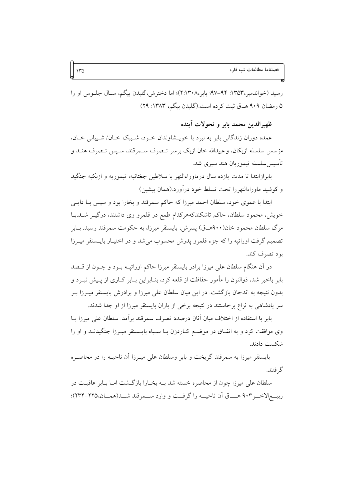رسید (خواندمیر،۱۳۵۳: ۹۲–۹۷؛ بابر،۲:۱۳۰۸)؛ اما دخترش،گلبدن بیگم، سـال جلــوس او را ۵ رمضان ۹۰۹ هـ ق ثبت كرده است.(گلبدن بيگم، ۱۳۸۳: ۲۹)

ظهيرالدين محمد بابر و تحولات أينده

عمده دوران زندگانی بابر به نبرد با خویـشاوندان خـود، شـیبک خـان/ شـیبانی خـان، مؤسس سلسله ازبکان، وعبیدالله خان ازبک برسر تـصرف سـمرقند، سـيس تـصرف هنــد و تأسيس سلسله تيموريان هند سپري شد.

بابرازابتدا تا مدت يازده سال درماوراءالنهر با سلاطين جغتائيه، تيموريه و ازبكيه جنگيد و كوشيد ماوراءالنهررا تحت تسلط خود درأورد.(همان پيشين)

ابتدا با عموی خود، سلطان احمد میرزا که حاکم سمرقند و بخارا بود و سپس بـا دایـی خویش، محمود سلطان، حاکم تاشکندکههرکدام طمع در قلمرو وی داشتند، درگیــر شــد.بــا مرگ سلطان محمود خان(۹۰۰هــق) پسرش، بایسنقر میرزا، به حکومت سمرقند رسید. بــابر تصمیم گرفت اوراتیه را که جزء قلمرو پدرش محسوب می شد و در اختیـار بایـسنقر میـرزا بود تصرف کند.

در آن هنگام سلطان علی میرزا برادر بایسنقر میرزا حاکم اوراتیــه بــود و چــون از قــصد بابر باخبر شد، ذوالنون را مأمور حفاظت از قلعه کرد، بنـابراین بـابر کــاری از پــیش نبــرد و بدون نتیجه به اندجان بازگشت. در این میان سلطان علی میرزا و برادرش بایسنقر میــرزا بــر سر پادشاهی به نزاع برخاستند در نتیجه برخی از یاران بایسنقر میرزا از او جدا شدند.

بابر با استفاده از اختلاف میان آنان درصدد تصرف سمرقند بر آمد. سلطان علی میرزا بـا وی موافقت کرد و به اتفـاق در موضــع کــاردزن بــا ســپاه بايــسنقر ميــرزا جنگيدنــد و او را شكست دادند.

بایسنقر میرزا به سمرقند گریخت و بابر وسلطان علی میـرزا آن ناحیــه را در محاصـره گر فتند.

سلطان علی میرزا چون از محاصره خسته شد بـه بخـارا بازگـشت امـا بـابر عاقبـت در ربيــع|لاخــر ٩٠٣ هـــــق أن ناحيـــه را گرفــت و وارد ســـمرقند شـــد(همـــان،٢٢٥-٢٣٣)؛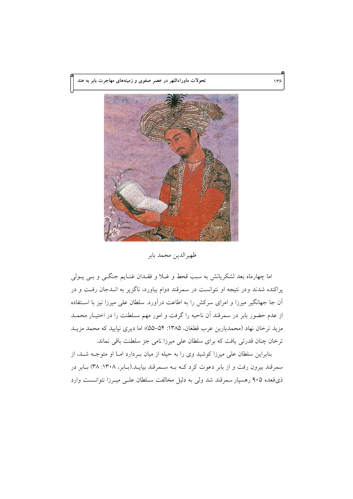تحولات ماوراءالنهر در عصر صفوی و زمینههای مهاجرت بابر به هند



ظهيرالدين محمد بابر

اما چهارماه بعد لشکریانش به سبب قحط و غــلا و فقــدان غنــایم جنگــی و بــی پــولی پراکنده شدند ودر نتیجه او نتوانست در سمرقند دوام بیاورد، ناگزیر به انـدجان رفـت و در آن جا جهانگیر میرزا و امرای سرکش را به اطاعت درآورد. سلطان علی میرزا نیز با استفاده از عدم حضور بابر در سمرقند آن ناحیه را گرفت و امور مهم سـلطنت را در اختیـار محمــد مزید ترخان نهاد (محمدیاربن عرب قطغان، ۱۳۸۵: ۵۴–۵۵)؛ اما دیری نپایید که محمد مزیــد ترخان چنان قدرتی یافت که برای سلطان علی میرزا نامی جز سلطنت باقی نماند.

بنابراین سلطان علی میرزا کوشید وی را به حیله از میان بـردارد امـا او متوجـه شـد، از سمرقند بیرون رفت و از بابر دعوت کرد کـه بـه سـمرقند بیایـد.(بـابر، ۱۳۰۸: ۳۸) بـابر در ذي قعده ۹۰۵ رهسيار سمرقند شد ولي به دليل مخالفت سـلطان علـي ميـرزا نتوانــست وارد

۱۳۶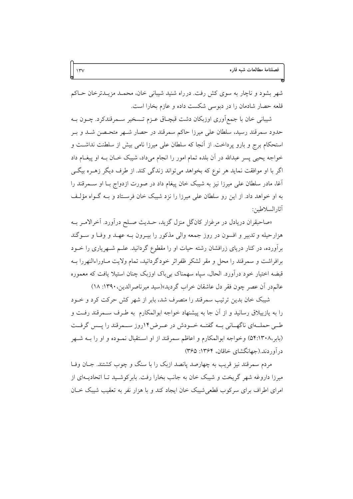شهر بشود و ناچار به سوی کش رفت. درراه شنید شیبانی خان، محمـد مزیـدترخان حـاکم قلعه حصار شادمان را در دبوسی شکست داده و عازم بخارا است.

شیبانی خان با جمع[وری اوزبکان دشت قبچـاق عــزم تــسخیر ســمرقندکرد. چــون بــه حدود سمرقند رسید، سلطان علی میرزا حاکم سمرقند در حصار شـهر متحـصن شـد و بـر استحکام برج و بارو پرداخت. از آنجا که سلطان علی میرزا نامی بیش از سلطنت نداشت و خواجه يحيى پسر عبدالله در آن بلده تمام امور را انجام مىداد، شيبک خــان بــه او پيغــام داد اگر با او موافقت نماید هر نوع که بخواهد میتواند زندگی کند. از طرف دیگر زهـره بیگـی أغا، مادر سلطان علی میرزا نیز به شیبک خان پیغام داد در صورت ازدواج بـا او ســمرقند را به او خواهد داد. از این رو سلطان علی میرزا را نزد شیبک خان فرسـتاد و بــه گــواه مؤلــف آثار السلاطين:

«صاحبقران دریادل در مرغزار کانگل منزل گزید، حـدیث صـلح درآورد. آخرالامـر بـه هزارحیله و تدبیر و افسون در روز جمعه والی مذکور را بیـرون بـه عهـد و وفـا و سـوگند برآورده، در کنار دریای زرافشان رشته حیات او را مقطوع گردانید. علــم شــهریاری را خــود برافراشت و سمرقند را محل و مقر لشکر ظفراثر خودگردانید، تمام ولایت مـاوراءالنهررا بــه قبضه اختیار خود درآورد. الحال، سیاه سهمناک بی باک اوزبک چنان استیلا یافت که معموره عالم در آن عصر چون فقر دل عاشقان خراب گردید»(سید میرناصرالدین، ۱۳۹۰: ۱۸)

شیبک خان بدین ترتیب سمرقند را متصرف شد، بابر از شهر کش حرکت کرد و خــود را به یازییلاق رسانید و از آن جا به پیشنهاد خواجه ابوالمکارم ًبه طـرف ســمرقند رفــت و طــي حملــهاي ناگهــاني بــه گفتــه خــودش در عــرض١٢روز ســـمرقند را پــس گرفــت (بابر،۵۴:۱۳۰۸) وخواجه ابوالمكارم و اعاظم سمرقند از او استقبال نمـوده و او را بــه شـهر در آوردند.(جهانگشای خاقان، ۱۳۶۴: ۳۶۵)

مردم سمرقند نیز قریب به چهارصد یانصد ازبک را با سنگ و چوب کشتند. جــان وفــا میرزا داروغه شهر گریخت و شیبک خان به جانب بخارا رفت. بابر کوشـید تـا اتحادیــهای از امرای اطراف برای سرکوب قطعی شیبک خان ایجاد کند و با هزار نفر به تعقیب شیبک خــان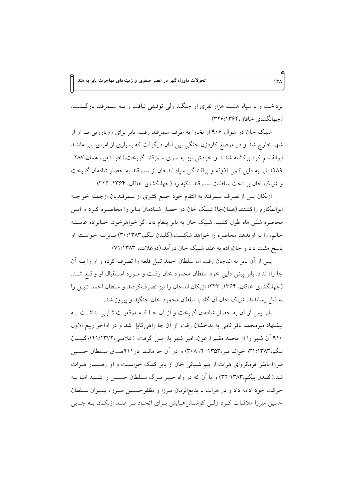یرداخت و با سیاه هشت هزار نفری او جنگید ولی توفیقی نیافت و بـه سـمرقند بازگـشت. (جهانگشای خاقان، ۳۲۶:۱۳۶۴)

شیبک خان در شوال ۹۰۶ از بخارا به طرف سمرقند رفت. بابر برای رویارویی بـا او از شهر خارج شد و در موضع کاردزن جنگی بین آنان درگرفت که بسیاری از امرای بابر ماننــد ابوالقاسم کوه برکشته شدند و خودش نیز به سوی سمرقند گریخت (خواندمیر، همان،۲۸۷-٢٨٩) بابر به دلیل کمی آذوقه و پراکندگی سپاه اندجان از سمرقند به حصار شادمان گریخت و شیبک خان بر تخت سلطنت سمرقند تکیه زد.(جهانگشای خاقان، ۱۳۶۴: ۳۲۶)

ازبکان پس ازتصرف سمرقند به انتقام خود جمع کثیری از سمرقندیان ازجمله خواجـه ابوالمکارم راکشتند.(همانجا) شیبک خان در حصار شـادمان بـابر را محاصـره کـرد و ایــن محاصره شش ماه طول کشید. شیبک خان به بابر پیغام داد اگر خواهرخود، خـانزاده عایــشه خانم، را به او بدهد محاصره را خواهد شکست.(گلبدن بیگم،۱۳۸۳:۳۰) بـابربــه خواســته او یاسخ مثبت داد و خانزاده به عقد شیبک خان درآمد.(دوغلات، ۱۳۸۳: ۷۱)

يس از آن بابر به اندجان رفت اما سلطان احمد تنبل قلعه را تصرف كرده و او را بــه آن جا راه نداد. بابر پیش دایی خود سلطان محمود خان رفت و مـورد اسـتقبال او واقــع شــد. (جهانگشای خاقان، ۱۳۶۴: ۳۳۳) ازبکان اندجان را نیز تصرف کردند و سلطان احمد تنبـل را به قتل رساندند. شیبک خان آن گاه با سلطان محمود خان جنگید و پیروز شد.

بابر پس از آن به حصار شادمان گریخت و از آن جـا کـه موقعیـت ثـابتی نداشـت بـه پیشنهاد میرمحمد باقر نامی به بدخشان رفت. از آن جا راهی کابل شد و در اواخر ربیع الاول ۹۱۰ آن شهر را از محمد مقیم ارغون، امیر شهر باز پس گرفت. (علامـی،۱۳۷۲:۱۳۷۲\$لبــدن بیگم،۱۳۸۳:۱۳۸۳ خواند میر،۱۳۵۳: ۴/ ۳۰۸) و در آن جا مانــد. در ۹۱۱هــــق ســلطان حــسین میرزا بایقرا فرمانروای هرات از بیم شیبانی خان از بابر کمک خواسـت و او رهــسپار هــرات شد.(گلبدن بیگم،۳۲:۱۳۸۳) و با آن که در راه خبـر مـرگ سـلطان حـسین را شــنید امـا بــه حرکت خود ادامه داد و در هرات با بدیع|لزمان میرزا و مظفرحسین میـرزا، پــسران ســلطان حسین میرزا ملاقـات کـرد ولـی کوشـش۱مـایش بـرای اتحـاد بـر ضـد ازبکـان بـه جـایی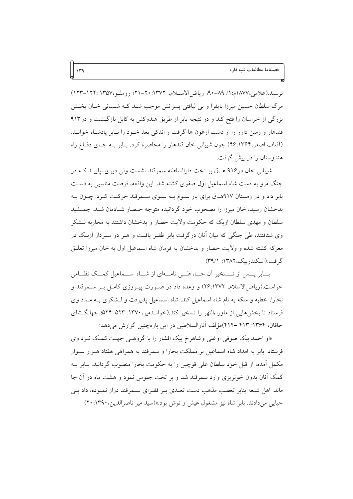نرسيد.(علامي،١٨٧٧م:١/ ٨٩-٩٠؛ رياض الاسلام، ١٣٧٢: ٢٠-٢١؛ روملـو،١٣٥٧: ١٢٢-١٢٣) مرگ سلطان حسین میرزا بایقرا و بی لیاقتی پسرانش موجب شــد کــه شــیبانی خــان بخــش بزرگی از خراسان را فتح کند و در نتیجه بابر از طریق هندوکش به کابل بازگشت و در ۹۱۳ قندهار و زمین داور را از دست ارغون ها گرفت و اندکی بعد خــود را بــابر یادشــاه خوانــد. (اَفتاب اصغر،۴۶:۱۳۶۴) چون شیبانی خان قندهار را محاصره کرد، بـابر بـه جـای دفـاع راه هندوستان را در پیش گرفت.

شیبانی خان در۹۱۶ هـ ق بر تخت دارالسلطنه سمرقند نشست ولی دیری نپاییـد کـه در جنگ مرو به دست شاه اسماعیل اول صفوی کشته شد. این واقعه، فرصت مناسبی به دست بابر داد و در زمستان ۹۱۷هـ ق برای بار سـوم بـه سـوی سـمرقند حرکـت کـرد. چـون بـه بدخشان رسید، خان میرزا را مصحوب خود گردانیده متوجه حـصار شـادمان شـد. جمـشید سلطان و مهدی سلطان ازبک که حکومت ولایت حصار و بدخشان داشتند به محاربه لـشکر وی شتافتند، طی جنگی که میان آنان درگرفت بابر ظفـر یافـت و هـر دو سـردار ازبـک در معرکه کشته شده و ولایت حصار و بدخشان به فرمان شاه اسماعیل اول به خان میرزا تعلــق گرفت. (اسکندریک، ۱۳۸۲: ۳۹/۱)

بسابر يسس از تسسخير آن جسا، طبي نامسهاي از شساه اســماعيل كمسك نظــامي خواست.(ریاض|لاسلام، ۲۶:۱۳۷۲) و وعده داد در صـورت پیـروزی کامـل بـر سـمرقند و بخارا، خطبه و سکه به نام شاه اسماعیل کند. شاه اسماعیل پذیرفت و لـشکری بـه مـدد وی فرستاد تا بخشهایی از ماوراءالنهر را تسخیر کند.(خوانـدمیر، ۱۳۷۰: ۵۲۳-۵۲۴؛ جهانگـشای خاقان، ۱۳۶۴: ۴۱۳ –۴۱۴)مؤلف آثارالسلاطین در این بارهچنین گزارش میدهد:

«او احمد بیک صوفی اوغلی و شاهرخ بیک افشار را با گروهـی جهـت کمـک نـزد وی فرستاد. بابر به امداد شاه اسماعیل بر مملکت بخارا و سمرقند به همراهی هفتاد هـزار سـوار مکمل آمده، از قبل خود سلطان علی قوچین را به حکومت بخارا منصوب گردانید. بـابر بــه کمک آنان بدون خونریزی وارد سمرقند شد و بر تخت جلوس نمود و هشت ماه در آن جا ماند. اهل شیعه بنابر تعصب مذهب دست تعـدی بـر فقـرای سـمرقند دراز نمـوده، داد بـی حیایی میدادند. بابر شاه نیز مشغول عیش و نوش بود.»(سید میر ناصرالدین،۱۳۹۰: ۲۰)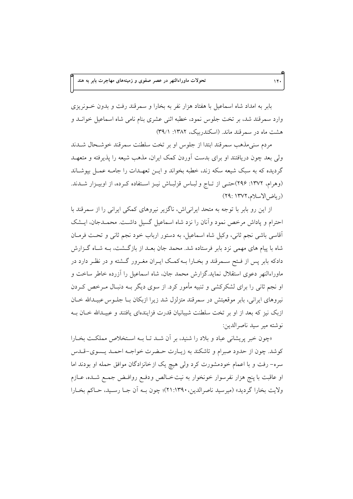بابر به امداد شاه اسماعیل با هفتاد هزار نفر به بخارا و سمرقند رفت و بدون خــونریزی وارد سمرقند شد، بر تخت جلوس نمود، خطبه اثنی عشری بنام نامی شاه اسماعیل خوانــد و هشت ماه در سمرقند ماند. (اسکندربیک، ۱۳۸۲: ۳۹/۱)

مردم سنیمذهب سمرقند ابتدا از جلوس او بر تخت سلطنت سمرقند خوشحال شـدند ولی بعد چون دریافتند او برای بدست آوردن کمک ایران، مذهب شیعه را پذیرفته و متعهـد گردیده که به سبک شیعه سکه زند، خطبه بخواند و ایـن تعهـدات را جامـه عمـل بپوشـاند (وهرام، ١٣٧٢: ٢٩۶)حتـى از تـاج و لبـاس قزلبـاش نيـز اسـتفاده كـرده، از اوبيـزار شــدند. (رياض الاسلام، ١٣٧٢: ٢٩)

از این رو بابر با توجه به متحد ایرانی اش، ناگزیر نیروهای کمکی ایرانی را از سمرقند با احترام و یاداش مرخص نمود وآنان را نزد شاه اسماعیل گسیل داشت. محمـدجان، ایــشک آقاسی باشی نجم ثانی، وکیل شاه اسماعیل، به دستور ارباب خود نجم ثانی و تحت فرمـان شاه با پیام های مهمی نزد بابر فرستاده شد. محمد جان بعـد از بازگـشت، بــه شــاه گــزارش دادکه بابر پس از فـتح ســمرقند و بخــارا بــهکمـک ايــران مغــرور گــشته و در نظـر دارد در ماوراءالنهر دعوی استقلال نماید.گزارش محمد جان، شاه اسماعیل را آزرده خاطر ساخت و او نجم ثانی را برای لشکرکشی و تنبیه مأمور کرد. از سوی دیگر بـه دنبـال مــرخص کــردن نیروهای ایرانی، بابر موقعیتش در سمرقند متزلزل شد زیرا ازبکان بـا جلـوس عبیـدالله خـان ازبک نیز که بعد از او بر تخت سلطنت شیبانیان قدرت فزایندهای یافتند و عبیـدالله خـان بــه نو شته مير سيد ناصرالدين:

«چون خبر پریشانی عباد و بلاد را شنید، بر آن شـد تــا بــه اسـتخلاص مملکـت بخــارا كوشد. چون از حدود صبرام و تاشكند به زيـارت حـضرت خواجـه احمـد يـسوى-قـدس سره- رفت و با اعمام خودمشورت کرد ولی هیچ یک از خانزادگان موافق حمله او بودند اما او عاقبت با پنج هزار نفرسوار خونخوار به نیت خـالص ودفـع روافـض جمـع شــده، عــازم ولايت بخارا گرديد» (ميرسيد ناصرالدين، ٢١:١٣٩٠)؛ چون بـه أن جـا رسـيد، حـاكم بخـارا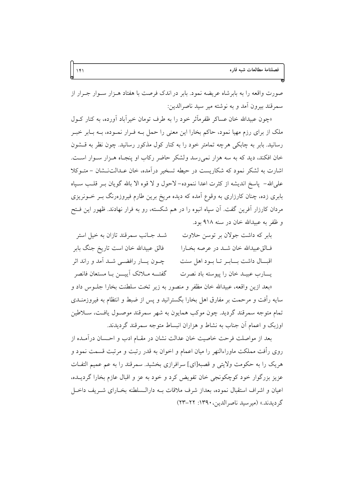صورت واقعه را به بابرشاه عریضه نمود. بابر در اندک فرصت با هفتاد هــزار ســوار جــرار از سمرقند بيرون أمد و به نوشته مير سيد ناصرالدين:

«چون عبیدالله خان عساکر ظفرِماًثر خود را به طرف تومان خیرآباد آورده، به کنار کـول ملک از برای رزم مهیا نمود، حاکم بخارا این معنی را حمل بـه فـرار نمـوده، بـه بـابر خبـر رسانید. بابر به چابکی هرچه تمامتر خود را به کنار کول مذکور رسانید. چون نظر به قشون خان افکند، دید که به سه هزار نمی رسد ولشکر حاضر رکاب او پنجـاه هـزار سـوار اسـت. اشارت به لشکر نمود که شکاریست در حیطه تسخیر درآمده، خان عـدالتنــشان – متــوکلا على الله- ياسخ انديشه از كثرت اعدا ننموده- لاحول و لا قوه الا بالله گويان بــر قلــب ســياه بابری زده، چنان کارزاری به وقوع آمده که دیده مریخ برین طارم فیروزهرنگ بـر خــونریزی مردان کارزار آفرین گفت. آن سپاه انبوه را در هم شکسته، رو به فرار نهادند. ظهور این فـتح و ظفر به عبيدالله خان در سنه ۹۱۸ بود.

| شـد جـانب سمرقند تازان به خيل استر                                             | بابر که داشت جولان بر توسن حلاوت                                                   |
|--------------------------------------------------------------------------------|------------------------------------------------------------------------------------|
| فالق عبيدالله خان است تاريخ جنگ بابر                                           | فــالقءبيدالله خان شــد در عرصه بخــارا                                            |
| چــون يــــار رافضـــي شـــد آمد و راند اثر                                    | اقبـال داشت بـابـر تـا بـود اهل سنت                                                |
| گفتـــه مــلائك آييــــن بــا مستعان فانصر                                     | يسارب عبيـد خان را پيوسته باد نصرت                                                 |
| «بعد ازین واقعه، عبیدالله خان مظفر و منصور به زیر تخت سلطنت بخارا جلــوس داد و |                                                                                    |
|                                                                                | سایه رأفت و مرحمت بر مفارق اهل بخارا بگسترانید و پس از ضبط و انتظام به فیروزمنــدی |
|                                                                                | تمام متوجه سمرقند گردید. چون موکب همایون به شهر سمرقند موصـول یافـت، ســلاطین      |
|                                                                                | اوزبک و اعمام آن جناب به نشاط و هزاران انبساط متوجه سمرقند گردیدند.                |

بعد از مواصلت فرحت خاصیت خان عدالت نشان در مقــام ادب و احــسان درآمــده از روی رأفت مملکت ماوراءالنهر را میان اعمام و اخوان به قدر رتبت و مرتبت قسمت نمود و هريک را به حکومت ولايتي و قصبه[اي] سرافرازي بخشيد. سمرقند را به عم عميم التفـات عزیز بزرگوار خود کوچکونجی خان تفویض کرد و خود به عز و اقبال عازم بخارا گردیــده، اعیان و اشراف استقبال نموده، بعداز شرف ملاقات بــه دارالــسلطنه بخــارای شــریف داخــل گر ديدند.» (ميرسيد ناصر الدين، ١٣٩٠: ٢٢-٢٣)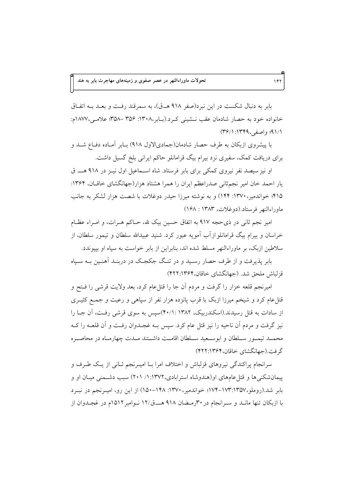بابر به دنبال شکست در این نبرد(صفر ۹۱۸ هـ ق)، به سمرقند رفت و بعـد بــه اتفــاق خانواده خود به حصار شادمان عقب نــشيني كــرد.(بــابر،١٣٠٨: ٣٥۶ –٣۵٨؛ علامــي،١٨٧٧م: ۹۱/۱؛ واصفي، ۱۳۴۹: ۳۶/۱)

با پیشروی ازبکان به طرف حصار شادمان(جمادیالاول ۹۱۸) بـابر آمـاده دفـاع شــد و برای دریافت کمک، سفیری نزد بیرام بیگ قرامانلو حاکم ایرانی بلخ گسیل داشت.

او نیز سیصد نفر نیروی کمکی برای بابر فرستاد. شاه اسـماعیل اول نیـز در ۹۱۸ هـــ ق یار احمد خان امیر نجم ثانی صدراعظم ایران را همرا هشتاد هزار(جهانگشای خاقـان، ۱۳۶۴: ۴۱۵؛ خواندمیر، ۱۳۷۰: ۱۴۴) و به نوشته میرزا حیدر دوغلات با شصت هزار لشکر به جانب ماوراءالنهر فرستاد.(دوغلات، ۱۳۸۳: ۱۶۸)

امیر نجم ثانی در ذی حجه ۹۱۷ به اتفاق حسین بیک لله، حـاکم هـرات، و امـراء عظـام خراسان و بیرام بیگ قرامانلو از آب آمویه عبور کرد. شنید عبیدالله سلطان و تیمور سلطان، از سلاطین ازبک، بر ماوراءالنهر مسلط شده اند، بنابراین از بابر خواست به سیاه او بییوندد.

بابر پذیرفت و از طرف حصار رسید و در تنگ جکجک در دربنـد آهنـین بـه سـیاه قزلياش ملحق شد. (جهانگشاي خاقان،۱۳۶۴(۲۲:۱۳۶

امیرنجم قلعه خزار را گرفت و مردم أن جا را قتلعام کرد، بعد ولایت قرشی را فـتح و قتلءام کرد و شیخم میرزا ازبک با قرب پانزده هزار نفر از سپاهیی و رعیت و جمـع کثیــری از سادات به قتل رسیدند.(اسکندربیک، ۱۳۸۲ : ۴۰/۱)سپس به سوی قرشی رفت، آن جـا را نیز گرفت و مردم اَن ناحیه را نیز قتل عام کرد. سپس بــه غجــدوان رفــت و اَن قلعــه را کــه محمــد تيمــور ســلطان و ابوســعيد ســلطان اقامــت داشــتند مــدت چهارمــاه در محاصــره گرفت.(جهانگشای خاقان، ۴۲۲:۱۳۶۴)

سرانجام پراکندگی نیروهای قزلباش و اختلاف امرا بـا امیـرنجم ثـانی از یـک طـرف و پیمان شکنی ها و قتل عامهای او (هندوشاه استرابادی،۱۳۷۲: ۱/ ۲۰۱) سبب دشـمنی میـان او و بابر شد.(روملو،١٣٥٧-١٧٣-١٧۴-١٧٤؛ خواندمير، ١٣٧٠: ١٤٨٨-١۵٠) از اين رو، اميـرنجم در نبـرد با ازبکان تنها مانـد و سـرانجام در ۳۰رمـضان ۹۱۸ هــــق/۱۲ نــوامبر ۱۵۱۲م در غجــدوان از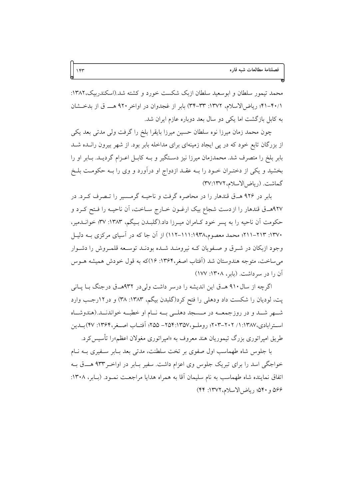محمد تیمور سلطان و ابوسعید سلطان ازبک شکست خورد و کشته شد.(اسکندربیک،۱۳۸۲: ۴۰/۱-۴۱؛ ریاضالاسلام، ۱۳۷۲: ۳۳-۳۴) بابر از غجدوان در اواخر ۹۲۰ هـ ق از بدخشان به کابل بازگشت اما یکی دو سال بعد دوباره عازم ایران شد.

چون محمد زمان میرزا نوه سلطان حسین میرزا بایقرا بلخ را گرفت ولی مدتی بعد یکی از بزرگان تابع خود که در پی ایجاد زمینهای برای مداخله بابر بود. از شهر بیرون رانـده شــد بابر بلخ را متصرف شد. محمدزمان میرزا نیز دسـتگیر و بــه کابــل اعــزام گردیــد. بــابر او را بخشید و یکی از دختـران خـود را بـه عقـد ازدواج او درآورد و وی را بـه حکومـت بلـخ گماشت. (رياض الاسلام، ٣٧:١٣٧٢)

بابر در ۹۲۶ هـ ق قندهار را در محاصره گرفت و ناحیـه گرمـسیر را تـصرف کـرد. در ٩٢٧هـ ق قندهار را از دست شجاع بيک ارغــون خــارج ســاخت، اَن ناحيــه را فــتح کــرد و حکومت اَن ناحیه را به پسر خود کـامران میـرزا داد.(گلبـدن بـیگم، ۱۳۸۳: ۳۷؛ خوانـدمیر، ۱۳۷۰: ۲۱۳–۲۱۱؛ محمد معصوم،۱۹۳۸:۱۱۱-۱۱۲) از آن جا که در آسیای مرکزی بـه دلیـل وجود ازبکان در شـرق و صـفویان کـه نیرومنـد شـده بودنـد توسـعه قلمـروش را دشـوار می ساخت، متوجه هندوستان شد (آفتاب اصغر،۱۳۶۴: ۱۶)که به قول خودش همیشه هـوس آن را در سرداشت. (بابر، ۱۳۰۸: ۱۷۷)

اگرچه از سال ۹۱۰ هــق این اندیشه را درسر داشت ولی در ۹۳۲هــق درجنگ بــا پــانی پت، لودیان را شکست داد ودهلی را فتح کرد(گلبدن بیگم، ۱۳۸۳: ۳۸) و در ۱۲رجب وارد شهر شـد و در روزجمعــه در مــسجد دهلــي بــه نــام او خطبــه خواندنــد.(هندوشــاه استرابادي،١٣٨٧: ١/ ٢٠٢–٢٠٣؛ روملـو،١٣٥٧-١٥٥٩- ٢٥٥؛ أفتـاب اصـغر،١٣۶۴: ۴۷)بــدين طریق امیراتوری بزرگ تیموریان هند معروف به «امیراتوری مغولان اعظم»را تأسیس کرد.

با جلوس شاه طهماسب اول صفوى بر تخت سلطنت، مدتى بعد بـابر سـفيرى بـه نـام خواجگی اسد را برای تبریک جلوس وی اعزام داشت. سفیر بـابر در اواخـر۹۳۳ هــــق بــه اتفاق نماینده شاه طهماسب به نام سلیمان آقا به همراه هدایا مراجعـت نمـود. (بــابر، ۱۳۰۸: ۵۶۶ و ۵۴۰؛ رياض الاسلام، ١٣٧٢: ۴۴)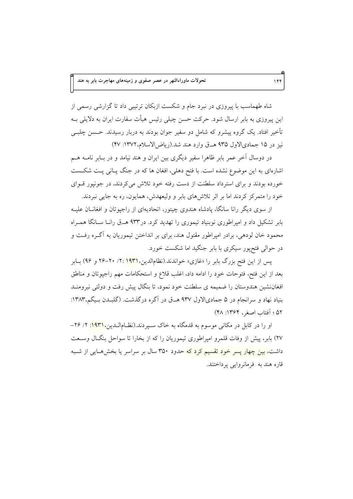شاه طهماسب با پیروزی در نبرد جام و شکست ازبکان ترتیبی داد تا گزارشی رسمی از این پیروزی به بابر ارسال شود. حرکت حسن چبلی رئیس هیأت سفارت ایران به دلایلی بــه تأخیر افتاد. یک گروه پیشرو که شامل دو سفیر جوان بودند به دربار رسیدند. حــسن چلبــی نیز در ۱۵ جمادیالاول ۹۳۵ هـق وارد هند شد.(ریاض الاسلام،۱۳۷۲: ۴۷)

در دوسال آخر عمر بابر ظاهرا سفیر دیگری بین ایران و هند نیامد و در بـابر نامــه هــم اشارهای به این موضوع نشده است. با فتح دهلی، افغان ها که در جنگ پـانی پـت شکـست خورده بودند و برای استرداد سلطنت از دست رفته خود تلاش می کردند، در جونیور قـوای خود را متمرکز کردند اما بر اثر تلاش های بابر و ولیعهدش، همایون، ره به جایی نبردند.

از سوی دیگر رانا سانگا، یادشاه هندوی چیتور، اتحادیهای از راجیوتان و افغانــان علیــه بابر تشکیل داد و امیراطوری نوبنیاد تیموری را تهدید کرد. در۹۳۳ هــق رانــا ســانگا همـراه محمود خان لودهی، برادر امپراطور مقتول هند، برای بر انداختن تیموریان به آگـره رفـت و در حوالی فتحپور سیکری با بابر جنگید اما شکست خورد.

پس از این فتح بزرگ بابر را «غازی» خواندند.(نظامالدین،<mark>۱۹۳۱</mark> :۲/ ۲۰–۲۶ و ۹۶) بــابر بعد از اين فتح، فتوحات خود را ادامه داد، اغلب قلاع و استحكامات مهم راجپوتان و مناطق افغاننشین هندوستان را ضمیمه ی سلطنت خود نمود، تا بنگال پیش رفت و دولتی نیرومنـد بنیاد نهاد و سرانجام در ۵ جمادیالاول ۹۳۷ هـ ق در آگره درگذشت. (گلبـدن بـیگم،۱۳۸۳: ۵۲ ؛ آفتاب اصغر، ۱۳۶۴: ۴۸)

او را در کابل در مکان<sub>ی</sub> موسوم به قدمگاه به خاک سـپردند.(نظــام|لــدین،<mark>۱۹۳۱:</mark> ۲/ ۲۶– ۲۷) بابر، پیش از وفات قلمرو امپراطوری تیموریان را که از بخارا تا سواحل بنگـال وسـعت داشت، <mark>بین چهار پسر خود تقسیم کرد که</mark> حدود ۳۵۰ سال بر سراسر یا بخشهـایی از شــبه قاره هند به فرمانووايي پرداختند.

 $155$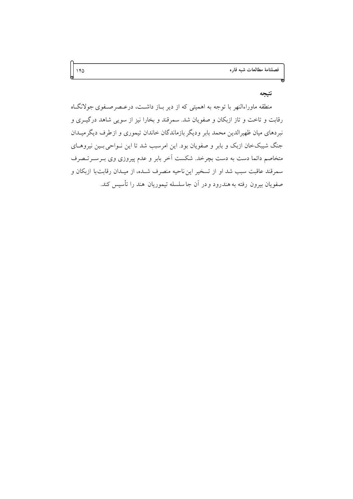### نتيجه

منطقه ماوراءالنهر با توجه به اهمیتی که از دیر بـاز داشـت، درعـصرصـفوی جولانگـاه رقابت و تاخت و تاز ازبکان و صفویان شد. سمرقند و بخارا نیز از سویی شاهد درگیـری و نبردهای میان ظهیرالدین محمد بابر ودیگر بازماندگان خاندان تیموری و ازطرف دیگرمیــدان جنگ شیبکخان ازبک و بابر و صفویان بود. این امرسبب شد تا این نـواحی بـین نیروهـای متخاصم دائما دست به دست بچرخد. شکست آخر بابر و عدم پیروزی وی بـرســرتــصرف سمرقند عاقبت سبب شد او از تسخير اين ناحيه منصرف شـده، از ميـدان رقابت با ازبكان و صفويان بيرون رفته به هندرود و در أن جا سلسله تيموريان هند را تأسيس كند.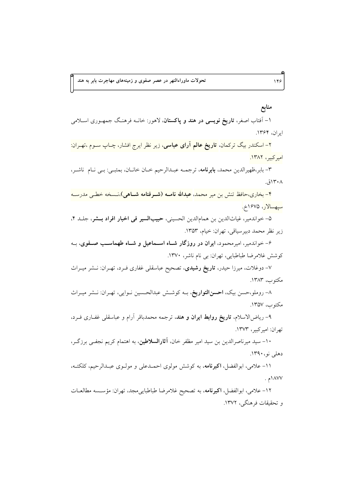# منابع

۱– آفتاب اصغر، **تاریخ نویسی در هند و پاکستان**، لاهور: خانـه فرهنـگ جمهـوری اسـلامی ایران، ۱۳۶۴.

۲– اسکندر بیگ ترکمان<mark>، تاریخ عالم آرای عباسی،</mark> زیر نظر ایرج افشار، چــاپ ســوم ،تهــران: اميركبير، ١٣٨٢.

٣- بابر،ظهيرالدين محمد، **بابرنامه**، ترجمــه عبــدالرحيم خــان خانــان، بمئبــي: بــي نــام ناشــر، ۱۳۰۸ق.

۴- بخاری،حافظ تنش بن میر محمد، عبدالله نامـه (شـرفنامه شـاهی)،نـسخه خطـی مدرسـه <mark>سيهسالار</mark>، ۱۶۷۵خ<mark>.</mark>

۵- خواندمير، غياثالدين بن همامالدين الحسيني، حبيبالسير في اخبار افراد بــشر، جلـد ۴، زير نظر محمد دبيرسياقي، تهران: خيام، ١٣٥٣.

۶- خواندمیر، امیرمحمود، ایران در روزگار شـاه اسـماعیل و شـاه طهماسـب صـفوی، بـه کوشش غلامرضا طباطبایی، تهران: بی نام ناشر، ۱۳۷۰.

۷– دوغلات، میرزا حیدر، **تاریخ رشیدی**، تصحیح عباسقل<sub>ی</sub> غفاری فـرد، تهـران: نــشر میــراث مكتوب، ١٣٨٣.

۸- روملو،حسن بیک، احسنالتواریخ، بـه کوشـش عبدالحـسین نـوایی، تهـران: نـشر میـراث مكتوب، ١٣۵٧.

۹- رياض[لاسلام، **تاريخ روابط ايران و هند**، ترجمه محمدباقر آرام و عباسقل<sub>ی</sub> غفـاری فـرد، تهران: اميركبير، ١٣٧٣.

۱۰- سید میرناصرالدین بن سید امیر مظفر خان، آ**ثارالسلاطین**، به اهتمام کریم نجفـی برزگـر، دهلي نو، ۱۳۹۰.

١١- علامي، ابوالفضل، اكبرنامه، به كوشش مولوي احمـدعلى و مولـوي عبـدالرحيم، كلكتـه،  $\cdot \wedge \wedge \vee \vee$ 

۱۲- علامی، ابوالفضل، **اکبرنامه**، به تصحیح غلامرضا طباطبای<sub>ی</sub> مجد، تهران: مؤســـــــه مطالعــات و تحقیقات فرهنگی، ۱۳۷۲.

 $149$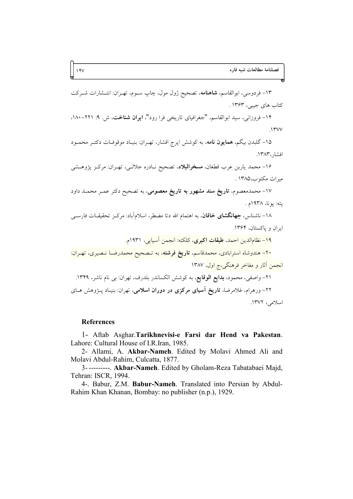۱۳- فردوسی، ابوالقاسم، **شاهنامه**، تصحیح ژول مول، چاپ ســوم، تهــران: انتــشارات شــرکت کتاب های جیبی، ۱۳۶۳ .

۱۴- فروزانی، سید ابوالقاسم، "جغرافیای تاریخی فرا رود"، **ایران شناخت**، ش. ۹: ۲۲۱-۱۸۰،  $\gamma$ 

۱۵- گلبدن بیگم، همایون نامه، به کوشش ایرج افشار، تهـران: بنیـاد موقوفـات دکتـر محمـود افشار، ١٣٨٣.

۱۶- محمد ياربن عرب قطغان، مسخرالبلاد، تصحيح نـادره جلالـي، تهـران: مركـز يژوهـشي مبراث مكتوب،١٣٨٥.

۱۷- محمدمعصوم، **تاریخ سند مشهور به تاریخ معصومی**، به تصحیح دکتر عمـر محمـد داود پته: پونا، ۱۹۳۸م .

۱۸- ناشناس، **جهانگشای خاقان**، به اهتمام الله دتا مضطر، اسلامآباد: مرکز تحقیقـات فارســی ابران و پاکستان، ۱۳۶۴.

<mark>١٩- نظامالدين احمد، طبقات اكبرى، كلكته: انجمن آسيايي</mark>، ١٩٣١م<mark>.</mark>

۲۰– هندوشاه استرابادی، محمدقاسم<mark>، تاریخ فرشته،</mark> به تـصحیح محمدرضــا نـصیری، تهــران: انجمن آثار و مفاخر فرهنگی،ج اول، ۱۳۸۷

۲۱– واصفی، محمود، **بدایع الوقایع**، به کوشش الکساندر بلدرف، تهران: ب<sub>ی</sub> نام ناشر، ۱۳۴۹. ۲۲- ورهرام، غلامرضا، **تاریخ آسیای مرکزی در دوران اسلامی**، تهران: بنیـاد پـژوهش هـای اسلامي، ١٣٧٢.

#### **References**

1- Aftab Asghar.Tarikhnevisi-e Farsi dar Hend va Pakestan. Lahore: Cultural House of I.R.Iran, 1985.

2- Allami, A. Akbar-Nameh. Edited by Molavi Ahmed Ali and Molavi Abdul-Rahim, Culcatta, 1877.

3----------. Akbar-Nameh. Edited by Gholam-Reza Tabatabaei Majd, Tehran: ISCR, 1994.

4-. Babur, Z.M. Babur-Nameh. Translated into Persian by Abdul-Rahim Khan Khanan, Bombay: no publisher (n.p.), 1929.